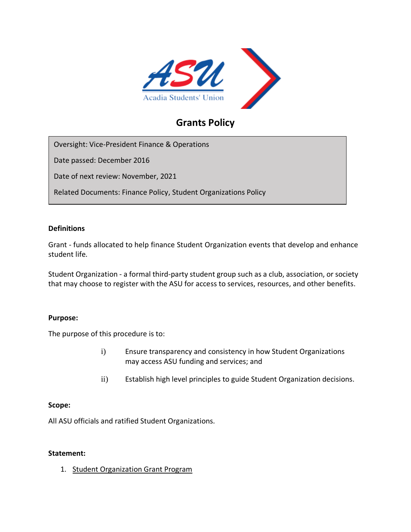

# **Grants Policy**

Oversight: Vice-President Finance & Operations

Date passed: December 2016

Date of next review: November, 2021

Related Documents: Finance Policy, Student Organizations Policy

#### **Definitions**

Grant - funds allocated to help finance Student Organization events that develop and enhance student life.

Student Organization - a formal third-party student group such as a club, association, or society that may choose to register with the ASU for access to services, resources, and other benefits.

## **Purpose:**

The purpose of this procedure is to:

- i) Ensure transparency and consistency in how Student Organizations may access ASU funding and services; and
- ii) Establish high level principles to guide Student Organization decisions.

#### **Scope:**

All ASU officials and ratified Student Organizations.

#### **Statement:**

1. Student Organization Grant Program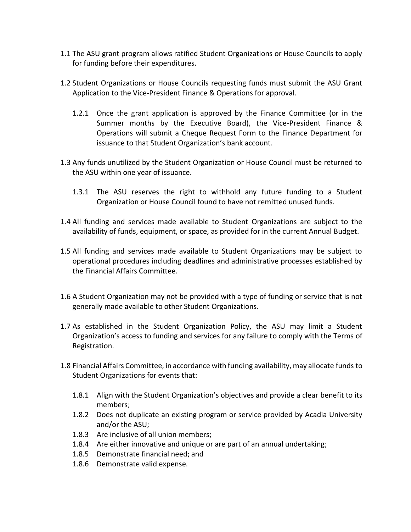- 1.1 The ASU grant program allows ratified Student Organizations or House Councils to apply for funding before their expenditures.
- 1.2 Student Organizations or House Councils requesting funds must submit the ASU Grant Application to the Vice-President Finance & Operations for approval.
	- 1.2.1 Once the grant application is approved by the Finance Committee (or in the Summer months by the Executive Board), the Vice-President Finance & Operations will submit a Cheque Request Form to the Finance Department for issuance to that Student Organization's bank account.
- 1.3 Any funds unutilized by the Student Organization or House Council must be returned to the ASU within one year of issuance.
	- 1.3.1 The ASU reserves the right to withhold any future funding to a Student Organization or House Council found to have not remitted unused funds.
- 1.4 All funding and services made available to Student Organizations are subject to the availability of funds, equipment, or space, as provided for in the current Annual Budget.
- 1.5 All funding and services made available to Student Organizations may be subject to operational procedures including deadlines and administrative processes established by the Financial Affairs Committee.
- 1.6 A Student Organization may not be provided with a type of funding or service that is not generally made available to other Student Organizations.
- 1.7 As established in the Student Organization Policy, the ASU may limit a Student Organization's access to funding and services for any failure to comply with the Terms of Registration.
- 1.8 Financial Affairs Committee, in accordance with funding availability, may allocate funds to Student Organizations for events that:
	- 1.8.1 Align with the Student Organization's objectives and provide a clear benefit to its members;
	- 1.8.2 Does not duplicate an existing program or service provided by Acadia University and/or the ASU;
	- 1.8.3 Are inclusive of all union members;
	- 1.8.4 Are either innovative and unique or are part of an annual undertaking;
	- 1.8.5 Demonstrate financial need; and
	- 1.8.6 Demonstrate valid expense.